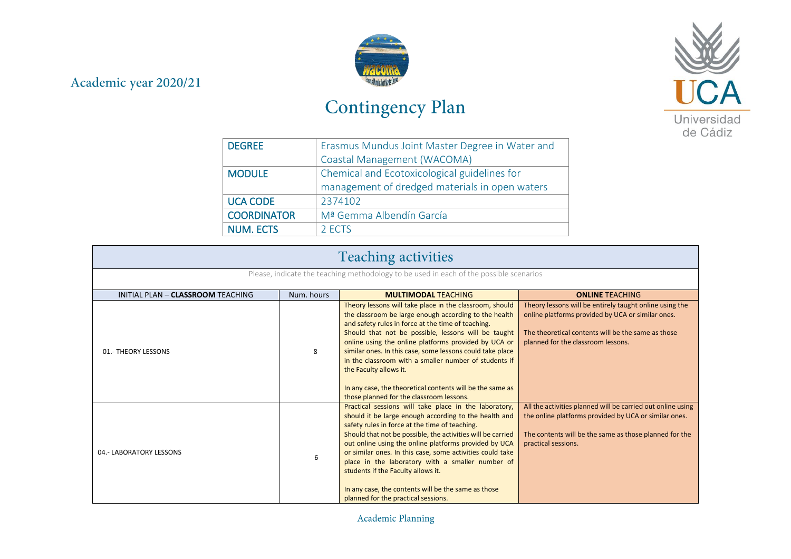## Academic year 2020/21



## Contingency Plan



| <b>DEGREE</b>      | Erasmus Mundus Joint Master Degree in Water and |  |
|--------------------|-------------------------------------------------|--|
|                    | Coastal Management (WACOMA)                     |  |
| <b>MODULE</b>      | Chemical and Ecotoxicological guidelines for    |  |
|                    | management of dredged materials in open waters  |  |
| <b>UCA CODE</b>    | 2374102                                         |  |
| <b>COORDINATOR</b> | M <sup>ª</sup> Gemma Albendín García            |  |
| <b>NUM. ECTS</b>   | 2 ECTS                                          |  |

| <b>Teaching activities</b>                                                             |            |                                                                                                                                                                                                                                                                                                                                                                                                                                                                                                                                                |                                                                                                                                                                                                          |  |
|----------------------------------------------------------------------------------------|------------|------------------------------------------------------------------------------------------------------------------------------------------------------------------------------------------------------------------------------------------------------------------------------------------------------------------------------------------------------------------------------------------------------------------------------------------------------------------------------------------------------------------------------------------------|----------------------------------------------------------------------------------------------------------------------------------------------------------------------------------------------------------|--|
| Please, indicate the teaching methodology to be used in each of the possible scenarios |            |                                                                                                                                                                                                                                                                                                                                                                                                                                                                                                                                                |                                                                                                                                                                                                          |  |
| INITIAL PLAN - CLASSROOM TEACHING                                                      | Num. hours | <b>MULTIMODAL TEACHING</b>                                                                                                                                                                                                                                                                                                                                                                                                                                                                                                                     | <b>ONLINE TEACHING</b>                                                                                                                                                                                   |  |
| 01.- THEORY LESSONS                                                                    | 8          | Theory lessons will take place in the classroom, should<br>the classroom be large enough according to the health<br>and safety rules in force at the time of teaching.<br>Should that not be possible, lessons will be taught<br>online using the online platforms provided by UCA or<br>similar ones. In this case, some lessons could take place<br>in the classroom with a smaller number of students if<br>the Faculty allows it.<br>In any case, the theoretical contents will be the same as<br>those planned for the classroom lessons. | Theory lessons will be entirely taught online using the<br>online platforms provided by UCA or similar ones.<br>The theoretical contents will be the same as those<br>planned for the classroom lessons. |  |
| 04.- LABORATORY LESSONS                                                                | 6          | Practical sessions will take place in the laboratory,<br>should it be large enough according to the health and<br>safety rules in force at the time of teaching.<br>Should that not be possible, the activities will be carried<br>out online using the online platforms provided by UCA<br>or similar ones. In this case, some activities could take<br>place in the laboratory with a smaller number of<br>students if the Faculty allows it.<br>In any case, the contents will be the same as those<br>planned for the practical sessions.  | All the activities planned will be carried out online using<br>the online platforms provided by UCA or similar ones.<br>The contents will be the same as those planned for the<br>practical sessions.    |  |

Academic Planning